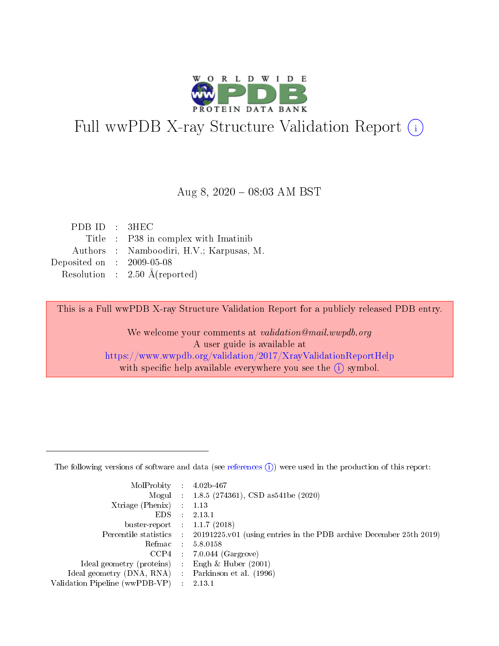

# Full wwPDB X-ray Structure Validation Report (i)

#### Aug 8,  $2020 - 08:03$  AM BST

| PDB ID : 3HEC                        |                                          |
|--------------------------------------|------------------------------------------|
|                                      | Title : P38 in complex with Imatinib     |
|                                      | Authors : Namboodiri, H.V.; Karpusas, M. |
| Deposited on $\therefore$ 2009-05-08 |                                          |
|                                      | Resolution : $2.50 \text{ Å}$ (reported) |

This is a Full wwPDB X-ray Structure Validation Report for a publicly released PDB entry.

We welcome your comments at validation@mail.wwpdb.org A user guide is available at <https://www.wwpdb.org/validation/2017/XrayValidationReportHelp> with specific help available everywhere you see the  $(i)$  symbol.

The following versions of software and data (see [references](https://www.wwpdb.org/validation/2017/XrayValidationReportHelp#references)  $(1)$ ) were used in the production of this report:

| $MolProbability$ 4.02b-467     |   |                                                                                            |
|--------------------------------|---|--------------------------------------------------------------------------------------------|
|                                |   | Mogul : $1.8.5$ (274361), CSD as 541be (2020)                                              |
| $X$ triage (Phenix) :          |   | 1.13                                                                                       |
| EDS.                           | ÷ | 2.13.1                                                                                     |
| buster-report : $1.1.7(2018)$  |   |                                                                                            |
|                                |   | Percentile statistics : 20191225.v01 (using entries in the PDB archive December 25th 2019) |
| Refmac :                       |   | 5.8.0158                                                                                   |
| CCP4                           |   | $7.0.044$ (Gargrove)                                                                       |
| Ideal geometry (proteins)      |   | Engh $\&$ Huber (2001)                                                                     |
| Ideal geometry (DNA, RNA) :    |   | Parkinson et al. (1996)                                                                    |
| Validation Pipeline (wwPDB-VP) | ÷ | 2.13.1                                                                                     |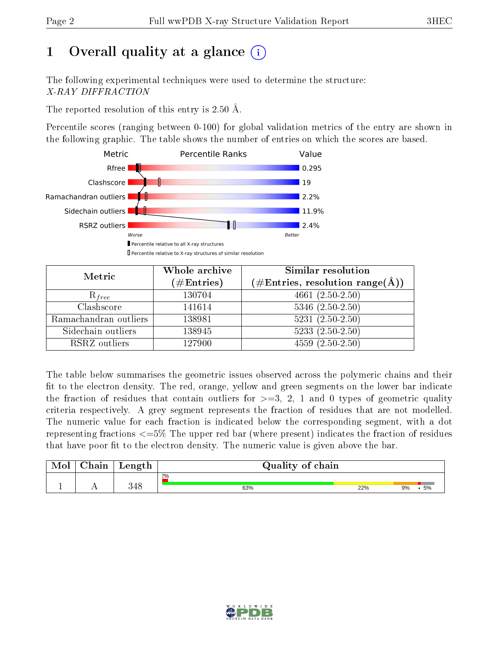## 1 [O](https://www.wwpdb.org/validation/2017/XrayValidationReportHelp#overall_quality)verall quality at a glance  $(i)$

The following experimental techniques were used to determine the structure: X-RAY DIFFRACTION

The reported resolution of this entry is 2.50 Å.

Percentile scores (ranging between 0-100) for global validation metrics of the entry are shown in the following graphic. The table shows the number of entries on which the scores are based.



| Metric                | Whole archive        | <b>Similar resolution</b>                                 |
|-----------------------|----------------------|-----------------------------------------------------------|
|                       | $(\#\text{Entries})$ | $(\#\text{Entries}, \text{resolution range}(\text{\AA}))$ |
| $R_{free}$            | 130704               | $4661(2.50-2.50)$                                         |
| Clashscore            | 141614               | $5346$ $(2.50-2.50)$                                      |
| Ramachandran outliers | 138981               | $5231 (2.50 - 2.50)$                                      |
| Sidechain outliers    | 138945               | $5233(2.50-2.50)$                                         |
| RSRZ outliers         | 127900               | $4559(2.50-2.50)$                                         |

The table below summarises the geometric issues observed across the polymeric chains and their fit to the electron density. The red, orange, yellow and green segments on the lower bar indicate the fraction of residues that contain outliers for  $>=3, 2, 1$  and 0 types of geometric quality criteria respectively. A grey segment represents the fraction of residues that are not modelled. The numeric value for each fraction is indicated below the corresponding segment, with a dot representing fractions  $\epsilon=5\%$  The upper red bar (where present) indicates the fraction of residues that have poor fit to the electron density. The numeric value is given above the bar.

| Mol       | $\alpha$ hain | Length     | Quality of chain |     |          |  |  |  |
|-----------|---------------|------------|------------------|-----|----------|--|--|--|
|           |               |            | 2%               |     |          |  |  |  |
| <u>д.</u> | . .           | 248<br>ノせい | 63%              | 22% | 5%<br>9% |  |  |  |

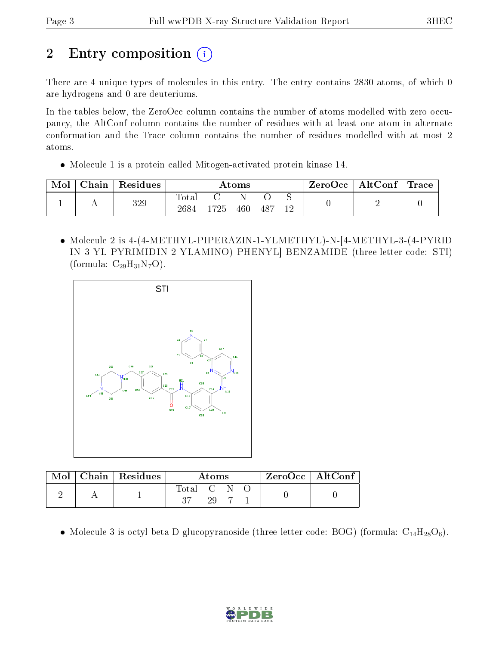# 2 Entry composition (i)

There are 4 unique types of molecules in this entry. The entry contains 2830 atoms, of which 0 are hydrogens and 0 are deuteriums.

In the tables below, the ZeroOcc column contains the number of atoms modelled with zero occupancy, the AltConf column contains the number of residues with at least one atom in alternate conformation and the Trace column contains the number of residues modelled with at most 2 atoms.

Molecule 1 is a protein called Mitogen-activated protein kinase 14.

| Mol | Chain | Residues | Atoms                    |     |     |      | $\mid$ ZeroOcc $\mid$ AltConf $\mid$ Trace |  |  |
|-----|-------|----------|--------------------------|-----|-----|------|--------------------------------------------|--|--|
|     |       | 329      | $\mathrm{Total}$<br>2684 | 725 | 460 | -487 |                                            |  |  |

 Molecule 2 is 4-(4-METHYL-PIPERAZIN-1-YLMETHYL)-N-[4-METHYL-3-(4-PYRID IN-3-YL-PYRIMIDIN-2-YLAMINO)-PHENYL]-BENZAMIDE (three-letter code: STI) (formula:  $C_{29}H_{31}N_7O$ ).



|  | Mol   Chain   Residues | Atoms     |    |  |  | $\rm{ZeroOcc} \mid \rm{AltConf}$ |  |
|--|------------------------|-----------|----|--|--|----------------------------------|--|
|  |                        | Total C N |    |  |  |                                  |  |
|  |                        |           | 20 |  |  |                                  |  |

• Molecule 3 is octyl beta-D-glucopyranoside (three-letter code: BOG) (formula:  $C_{14}H_{28}O_6$ ).

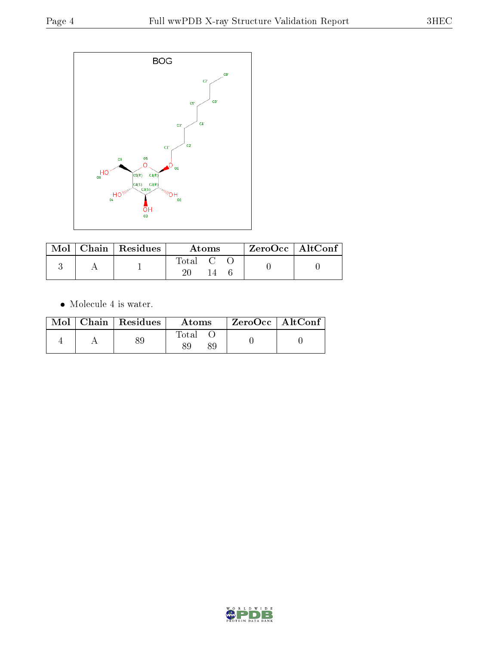

|  | $\mid$ Mol $\mid$ Chain $\mid$ Residues $\mid$ | Atoms   |  |  | ZeroOcc   AltConf |  |
|--|------------------------------------------------|---------|--|--|-------------------|--|
|  |                                                | Total C |  |  |                   |  |

 $\bullet\,$  Molecule 4 is water.

|  | Mol   Chain   Residues | Atoms | ZeroOcc   AltConf |
|--|------------------------|-------|-------------------|
|  |                        | Total |                   |

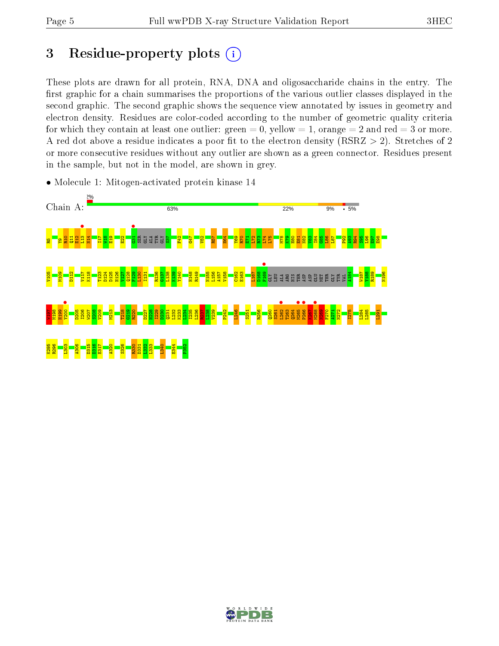## 3 Residue-property plots  $(i)$

These plots are drawn for all protein, RNA, DNA and oligosaccharide chains in the entry. The first graphic for a chain summarises the proportions of the various outlier classes displayed in the second graphic. The second graphic shows the sequence view annotated by issues in geometry and electron density. Residues are color-coded according to the number of geometric quality criteria for which they contain at least one outlier: green  $= 0$ , yellow  $= 1$ , orange  $= 2$  and red  $= 3$  or more. A red dot above a residue indicates a poor fit to the electron density ( $RSRZ > 2$ ). Stretches of 2 or more consecutive residues without any outlier are shown as a green connector. Residues present in the sample, but not in the model, are shown in grey.



• Molecule 1: Mitogen-activated protein kinase 14

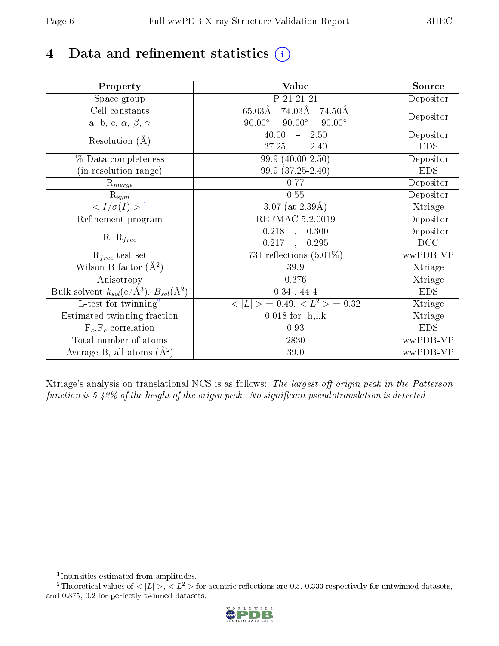# 4 Data and refinement statistics  $(i)$

| Property                                                             | Value                                           | Source     |
|----------------------------------------------------------------------|-------------------------------------------------|------------|
| Space group                                                          | P 21 21 21                                      | Depositor  |
| Cell constants                                                       | 74.03Å<br>$65.03\text{\AA}$<br>74.50Å           |            |
| a, b, c, $\alpha$ , $\beta$ , $\gamma$                               | $90.00^\circ$<br>$90.00^\circ$<br>$90.00^\circ$ | Depositor  |
| Resolution $(A)$                                                     | 40.00<br>$-2.50$                                | Depositor  |
|                                                                      | 37.25<br>$-2.40$                                | <b>EDS</b> |
| % Data completeness                                                  | 99.9 (40.00-2.50)                               | Depositor  |
| (in resolution range)                                                | 99.9 (37.25-2.40)                               | <b>EDS</b> |
| $\mathrm{R}_{merge}$                                                 | 0.77                                            | Depositor  |
| $\mathrm{R}_{sym}$                                                   | $0.55\,$                                        | Depositor  |
| $\sqrt{I/\sigma(I)} > 1$                                             | $\overline{3.07}$ (at 2.39Å)                    | Xtriage    |
| Refinement program                                                   | <b>REFMAC 5.2.0019</b>                          | Depositor  |
|                                                                      | $\overline{0.218}$ ,<br>0.300                   | Depositor  |
| $R, R_{free}$                                                        | 0.217<br>0.295<br>$\ddot{\phantom{a}}$          | DCC        |
| $R_{free}$ test set                                                  | 731 reflections $(5.01\%)$                      | wwPDB-VP   |
| Wilson B-factor $(A^2)$                                              | 39.9                                            | Xtriage    |
| Anisotropy                                                           | 0.376                                           | Xtriage    |
| Bulk solvent $k_{sol}(e/\mathring{A}^3)$ , $B_{sol}(\mathring{A}^2)$ | $0.34$ , 44.4                                   | <b>EDS</b> |
| $\overline{L-test for}$ twinning <sup>2</sup>                        | $< L >$ = 0.49, $< L^2 >$ = 0.32                | Xtriage    |
| Estimated twinning fraction                                          | $0.018$ for $-h, l, k$                          | Xtriage    |
| $F_o, F_c$ correlation                                               | 0.93                                            | <b>EDS</b> |
| Total number of atoms                                                | 2830                                            | wwPDB-VP   |
| Average B, all atoms $(A^2)$                                         | 39.0                                            | wwPDB-VP   |

Xtriage's analysis on translational NCS is as follows: The largest off-origin peak in the Patterson function is  $5.42\%$  of the height of the origin peak. No significant pseudotranslation is detected.

<sup>&</sup>lt;sup>2</sup>Theoretical values of  $\langle |L| \rangle$ ,  $\langle L^2 \rangle$  for acentric reflections are 0.5, 0.333 respectively for untwinned datasets, and 0.375, 0.2 for perfectly twinned datasets.



<span id="page-5-1"></span><span id="page-5-0"></span><sup>1</sup> Intensities estimated from amplitudes.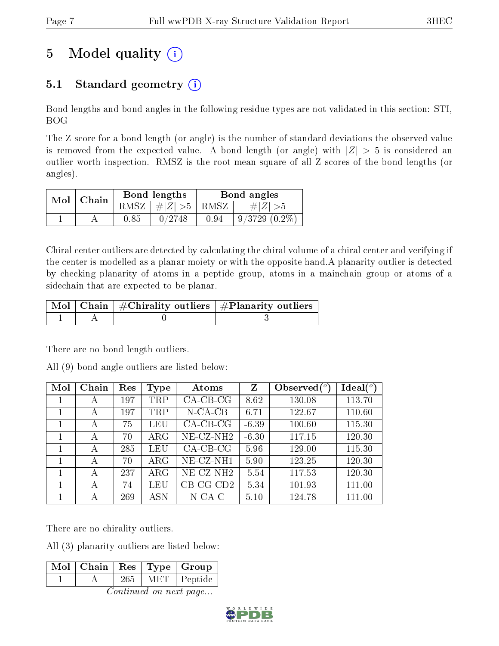# 5 Model quality  $(i)$

### 5.1 Standard geometry  $(i)$

Bond lengths and bond angles in the following residue types are not validated in this section: STI, BOG

The Z score for a bond length (or angle) is the number of standard deviations the observed value is removed from the expected value. A bond length (or angle) with  $|Z| > 5$  is considered an outlier worth inspection. RMSZ is the root-mean-square of all Z scores of the bond lengths (or angles).

| $Mol$   Chain |      | Bond lengths                 | Bond angles |                 |  |
|---------------|------|------------------------------|-------------|-----------------|--|
|               |      | RMSZ $\mid \#Z \mid >5$ RMSZ |             | # Z  > 5        |  |
|               | 0.85 | 0/2748                       | 0.94        | $9/3729(0.2\%)$ |  |

Chiral center outliers are detected by calculating the chiral volume of a chiral center and verifying if the center is modelled as a planar moiety or with the opposite hand.A planarity outlier is detected by checking planarity of atoms in a peptide group, atoms in a mainchain group or atoms of a sidechain that are expected to be planar.

|  | $\mid$ Mol $\mid$ Chain $\mid$ #Chirality outliers $\mid$ #Planarity outliers $\mid$ |
|--|--------------------------------------------------------------------------------------|
|  |                                                                                      |

There are no bond length outliers.

All (9) bond angle outliers are listed below:

| Mol | Chain | Res | <b>Type</b> | Atoms        | Z       | Observed $\binom{o}{c}$ | Ideal $(^\circ)$ |
|-----|-------|-----|-------------|--------------|---------|-------------------------|------------------|
|     | А     | 197 | <b>TRP</b>  | $CA-CB-CG$   | 8.62    | 130.08                  | 113.70           |
|     | А     | 197 | <b>TRP</b>  | $N$ -CA-CB   | 6.71    | 122.67                  | 110.60           |
|     | А     | 75  | LEU         | $CA$ -CB-CG  | $-6.39$ | 100.60                  | 115.30           |
|     | А     | 70  | $\rm{ARG}$  | $NE- CZ-NH2$ | $-6.30$ | 117.15                  | 120.30           |
|     | А     | 285 | LEU         | $CA$ -CB-CG  | 5.96    | 129.00                  | 115.30           |
|     | А     | 70  | $\rm{ARG}$  | $NE- CZ-NH1$ | 5.90    | 123.25                  | 120.30           |
|     | A     | 237 | $\rm{ARG}$  | $NE- CZ-NH2$ | $-5.54$ | 117.53                  | 120.30           |
|     | А     | 74  | LEU         | $CB-CG-CD2$  | $-5.34$ | 101.93                  | 111.00           |
|     | А     | 269 | <b>ASN</b>  | $N$ -CA-C    | 5.10    | 124.78                  | 111.00           |

There are no chirality outliers.

All (3) planarity outliers are listed below:

|  |        | $\boxed{\text{ Mol }   \text{ Chain }   \text{ Res }   \text{ Type }   \text{ Group } }$ |
|--|--------|------------------------------------------------------------------------------------------|
|  | $-265$ | $\sqrt{\text{MET}}$   Peptide                                                            |
|  |        |                                                                                          |

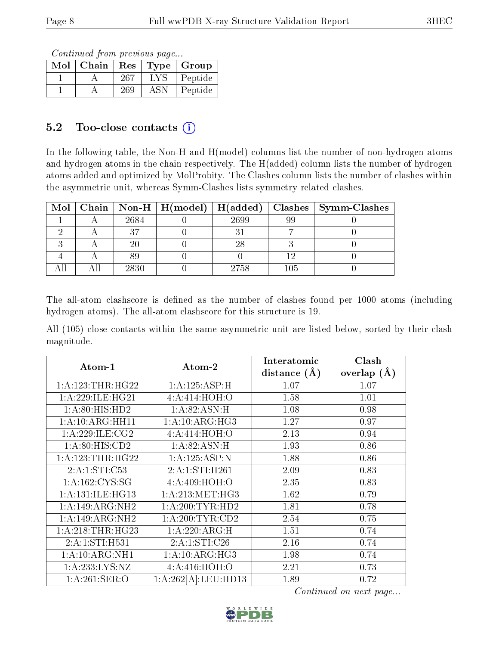Continued from previous page...

| Mol | Chain | Res  | Type       | $\vert$ Group |
|-----|-------|------|------------|---------------|
|     |       | -267 | <b>LYS</b> | Peptide       |
|     |       | 269  | ASN        | Peptide       |

#### 5.2 Too-close contacts  $(i)$

In the following table, the Non-H and H(model) columns list the number of non-hydrogen atoms and hydrogen atoms in the chain respectively. The H(added) column lists the number of hydrogen atoms added and optimized by MolProbity. The Clashes column lists the number of clashes within the asymmetric unit, whereas Symm-Clashes lists symmetry related clashes.

|  |      |      |         | Mol   Chain   Non-H   H(model)   H(added)   Clashes   Symm-Clashes |
|--|------|------|---------|--------------------------------------------------------------------|
|  | 2684 | 2699 | 99      |                                                                    |
|  |      |      |         |                                                                    |
|  | 20   |      |         |                                                                    |
|  |      |      |         |                                                                    |
|  | 2830 | 2758 | $105\,$ |                                                                    |

The all-atom clashscore is defined as the number of clashes found per 1000 atoms (including hydrogen atoms). The all-atom clashscore for this structure is 19.

All (105) close contacts within the same asymmetric unit are listed below, sorted by their clash magnitude.

| Atom-1                       | Atom-2              | Interatomic    | Clash         |
|------------------------------|---------------------|----------------|---------------|
|                              |                     | distance $(A)$ | overlap $(A)$ |
| 1: A: 123: THR: HG22         | 1:A:125:ASP:H       | 1.07           | 1.07          |
| 1: A:229: ILE: HG21          | 4:A:414:HOH:O       | 1.58           | 1.01          |
| 1:A:80:HIS:HD2               | 1:A:82:ASN:H        | 1.08           | 0.98          |
| $1:A:10:ARG:H\overline{H11}$ | 1:A:10:ARG:HG3      | 1.27           | 0.97          |
| 1: A:229: ILE: CG2           | 4: A:414: HOH:O     | 2.13           | 0.94          |
| 1:A:80:HIS:CD2               | 1:A:82:ASN:H        | 1.93           | 0.86          |
| 1: A: 123: THR: HG22         | 1:A:125:ASP:N       | 1.88           | 0.86          |
| 2:A:1:STI:C53                | 2:A:1:STI:H261      | 2.09           | 0.83          |
| 1: A: 162: CYS: SG           | 4: A:409:HOH:O      | 2.35           | 0.83          |
| 1: A: 131: ILE: HG13         | 1: A:213: MET:HG3   | 1.62           | 0.79          |
| 1:A:149:ARG:NH2              | 1: A:200:TYR:HD2    | 1.81           | 0.78          |
| 1:A:149:ARG:NH2              | 1: A:200:TYR:CD2    | 2.54           | 0.75          |
| 1: A:218:THR:HG23            | 1:A:220:ARG:H       | 1.51           | 0.74          |
| 2:A:1:STI:H531               | 2:A:1:STI:C26       | 2.16           | 0.74          |
| 1: A:10: ARG:NH1             | 1:A:10:ARG:HG3      | 1.98           | 0.74          |
| 1:A:233:LYS:NZ               | 4: A:416:HOH:O      | 2.21           | 0.73          |
| 1:A:261:SER:O                | 1:A:262[A]:LEU:HD13 | 1.89           | 0.72          |

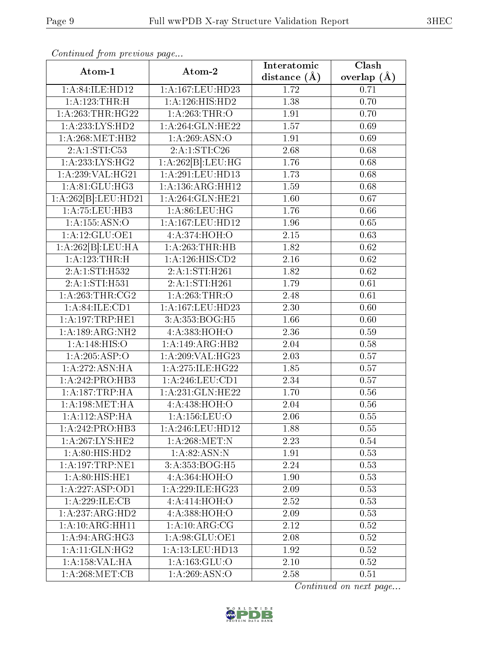|                                     |                     | Interatomic    | $\overline{\text{Clash}}$ |
|-------------------------------------|---------------------|----------------|---------------------------|
| Atom-1                              | Atom-2              | distance $(A)$ | overlap $(\AA)$           |
| 1:A:84:ILE:HD12                     | 1:A:167:LEU:HD23    | 1.72           | 0.71                      |
| 1:A:123:THR:H                       | 1:A:126:HIS:HD2     | 1.38           | 0.70                      |
| 1: A:263:THR:HG22                   | 1: A:263:THR:O      | 1.91           | 0.70                      |
| 1:A:233:LYS:HD2                     | 1: A:264: GLN: HE22 | 1.57           | 0.69                      |
| 1: A:268:MET:HB2                    | 1: A:269: ASN:O     | 1.91           | 0.69                      |
| 2:A:1:STI:C53                       | 2:A:1:STI:C26       | 2.68           | 0.68                      |
| 1: A: 233: LYS: HG2                 | 1:A:262[B]:LEU:HG   | 1.76           | 0.68                      |
| 1:A:239:VAL:HG21                    | 1:A:291:LEU:HD13    | 1.73           | 0.68                      |
| 1: A:81: GLU:HG3                    | 1:A:136:ARG:HH12    | 1.59           | 0.68                      |
| 1:A:262[B].LEU:HD21                 | 1:A:264:GLN:HE21    | 1.60           | 0.67                      |
| 1:A:75:LEU:HB3                      | 1: A:86: LEU: HG    | 1.76           | 0.66                      |
| 1:A:155:ASN:O                       | 1:A:167:LEU:HD12    | 1.96           | 0.65                      |
| 1:A:12:GLU:OE1                      | 4:A:374:HOH:O       | 2.15           | 0.63                      |
| 1:A:262[B]:LEU:HA                   | 1:A:263:THR:HB      | 1.82           | 0.62                      |
| 1:A:123:THR:H                       | 1:A:126:HIS:CD2     | 2.16           | 0.62                      |
| 2:A:1:STI:H532                      | 2:A:1:STI:H261      | 1.82           | 0.62                      |
| 2:A:1:STI:H531                      | 2:A:1:STI:H261      | 1.79           | 0.61                      |
| 1: A:263:THR:CG2                    | 1: A:263:THR:O      | 2.48           | 0.61                      |
| 1: A:84:ILE:CD1                     | 1:A:167:LEU:HD23    | 2.30           | 0.60                      |
| 1: A: 197: TRP: HE1                 | 3:A:353:BOG:H5      | 1.66           | 0.60                      |
| 1:A:189:ARG:NH2                     | 4:A:383:HOH:O       | 2.36           | 0.59                      |
| 1: A:148: HIS:O                     | 1:A:149:ARG:HB2     | 2.04           | 0.58                      |
| 1:A:205:ASP:O                       | 1:A:209:VAL:HG23    | 2.03           | 0.57                      |
| 1:A:272:ASN:HA                      | 1:A:275:ILE:HG22    | 1.85           | 0.57                      |
| 1:A:242:PRO:HB3                     | 1:A:246:LEU:CD1     | 2.34           | 0.57                      |
| 1:A:187:TRP:HA                      | 1:A:231:GLN:HE22    | 1.70           | 0.56                      |
| 1: A:198:MET:HA                     | 4:A:438:HOH:O       | 2.04           | $0.56\,$                  |
| 1:A:112:ASP:HA                      | 1:A:156:LEU:O       | 2.06           | 0.55                      |
| 1: A:242: PRO:HB3                   | 1:A:246:LEU:HD12    | 1.88           | 0.55                      |
| 1: A:267: LYS: HE2                  | 1: A:268:MET:N      | 2.23           | 0.54                      |
| 1: A:80: HIS: HD2                   | 1: A:82: ASN: N     | 1.91           | 0.53                      |
| 1: A: 197: TRP: NE1                 | 3:A:353:BOG:H5      | 2.24           | 0.53                      |
| 1: A:80: HIS: HE1                   | 4:A:364:HOH:O       | 1.90           | 0.53                      |
| 1:A:227:ASP:OD1                     | 1: A:229: ILE:HG23  | 2.09           | 0.53                      |
| 1:A:229:ILE:CB                      | 4:A:414:HOH:O       | 2.52           | 0.53                      |
| 1: A: 237: ARG: HD2                 | 4:A:388:HOH:O       | 2.09           | 0.53                      |
| $1:A:10:A\overline{\text{RG:HH11}}$ | 1: A:10:ARG:CG      | 2.12           | 0.52                      |
| 1: A:94: ARG: HG3                   | 1:A:98:GLU:OE1      | 2.08           | 0.52                      |
| 1:A:11:GLN:HG2                      | 1:A:13:LEU:HD13     | 1.92           | 0.52                      |
| 1:A:158:VAL:HA                      | 1: A: 163: GLU:O    | 2.10           | 0.52                      |
| 1: A:268:MET:CB                     | 1: A:269: ASN:O     | 2.58           | 0.51                      |

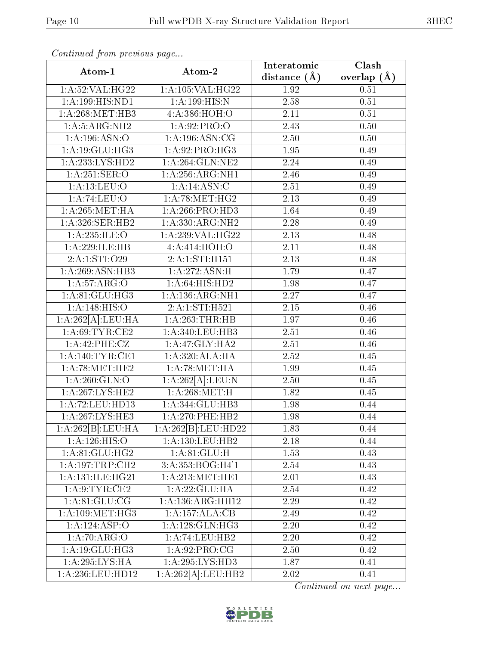| Atom-1                        | Atom-2                             | Interatomic       | Clash         |
|-------------------------------|------------------------------------|-------------------|---------------|
|                               |                                    | distance $(\AA)$  | overlap $(A)$ |
| 1:A:52:VAL:HG22               | 1:A:105:VAL:HG22                   | 1.92              | 0.51          |
| 1: A: 199: HIS: ND1           | 1: A: 199: HIS: N                  | 2.58              | 0.51          |
| 1: A:268:MET:HB3              | 4:A:386:HOH:O                      | 2.11              | 0.51          |
| 1: A: 5: ARG: NH2             | 1:A:92:PRO:O                       | 2.43              | 0.50          |
| 1: A: 196: ASN: O             | $1:A:196:\overline{\text{ASN:CG}}$ | 2.50              | 0.50          |
| 1: A:19: GLU: HG3             | 1:A.92.PRO:HG3                     | 1.95              | 0.49          |
| 1: A: 233: LYS: HD2           | 1:A:264:GLN:NE2                    | $\overline{2.24}$ | 0.49          |
| 1:A:251:SER:O                 | 1:A:256:ARG:NH1                    | 2.46              | 0.49          |
| 1: A:13: LEU:O                | 1: A:14: ASN: C                    | 2.51              | 0.49          |
| 1:A:74:LEU:O                  | 1: A:78:MET:HG2                    | 2.13              | 0.49          |
| 1: A:265:MET:HA               | 1: A:266:PRO:HD3                   | 1.64              | 0.49          |
| 1:A:326:SER:HB2               | 1: A: 330: ARG: NH2                | $\overline{2.28}$ | 0.49          |
| 1:A:235:JLE:O                 | 1:A:239:VAL:HG22                   | 2.13              | 0.48          |
| 1:A:229:ILE:HB                | 4:A:414:HOH:O                      | 2.11              | 0.48          |
| 2:A:1:STI:O29                 | 2:A:1:STI:H151                     | 2.13              | 0.48          |
| 1:A:269:ASN:HB3               | 1:A:272:ASN:H                      | 1.79              | 0.47          |
| 1:A:57:ARG:O                  | 1: A:64: HIS: HD2                  | 1.98              | 0.47          |
| 1:A:81:GLU:HG3                | 1: A: 136: ARG: NH1                | 2.27              | 0.47          |
| 1: A:148: HIS:O               | 2:A:1:STI:H521                     | 2.15              | 0.46          |
| 1:A:262[A].LEU:HA             | 1:A:263:THR:HB                     | 1.97              | 0.46          |
| 1: A:69:TYR:CE2               | 1: A:340: LEU:HB3                  | 2.51              | 0.46          |
| 1:A:42:PHE:CZ                 | 1:A:47:GLY:HA2                     | 2.51              | 0.46          |
| 1:A:140:TYR:CE1               | 1:A:320:ALA:HA                     | 2.52              | 0.45          |
| 1: A:78:MET:HE2               | 1: A:78: MET:HA                    | 1.99              | 0.45          |
| 1: A:260: GLN:O               | 1:A:262[A]:LEU:N                   | 2.50              | $0.45\,$      |
| 1: A:267:LYS:HE2              | 1: A:268:MET:H                     | 1.82              | 0.45          |
| 1: A:72:LEU:HD13              | 1:A:344:GLU:HB3                    | 1.98              | 0.44          |
| 1:A:267:LYS:HE3               | $1: A:270:$ PHE:HB2                | 1.98              | 0.44          |
| 1:A:262[B]:LEU:HA             | 1:A:262[B]:LEU:HD22                | 1.83              | 0.44          |
| 1:A:126:HIS:O                 | 1:A:130:LEU:HB2                    | 2.18              | 0.44          |
| 1: A:81: GLU: HG2             | 1: A:81: GLU: H                    | 1.53              | 0.43          |
| 1:A:197:TRP:CH2               | 3:A:353:BOG:H4'1                   | 2.54              | 0.43          |
| $1:\overline{A:131:1LE:HG21}$ | 1: A:213:MET:HE1                   | 2.01              | 0.43          |
| 1: A:9: TYR: CE2              | 1:A:22:GLU:HA                      | 2.54              | 0.42          |
| 1: A:81: GLU:CG               | $1:A:136:A\overline{RG:HH12}$      | 2.29              | 0.42          |
| 1: A:109:MET:HG3              | 1:A:157:ALA:CB                     | 2.49              | 0.42          |
| 1:A:124:ASP:O                 | 1: A:128: GLN: HG3                 | 2.20              | 0.42          |
| 1: A:70: ARG:O                | 1:A:74:LEU:HB2                     | 2.20              | 0.42          |
| 1: A:19: GLU: HG3             | 1: A:92: PRO:CG                    | 2.50              | 0.42          |
| 1:A:295:LYS:HA                | 1:A:295:LYS:HD3                    | 1.87              | 0.41          |
| 1:A:236:LEU:HD12              | 1:A:262[A]:LEU:HB2                 | 2.02              | 0.41          |

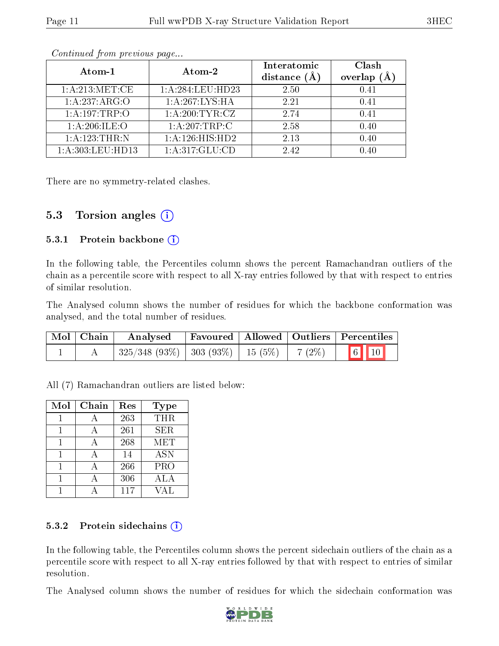| Atom-1           | Atom-2             | Interatomic<br>distance $(A)$ | Clash<br>overlap (Å |
|------------------|--------------------|-------------------------------|---------------------|
| 1: A:213: MET:CE | 1:A:284:LEU:HD23   | 2.50                          | 0.41                |
| 1:A:237:ARG:O    | 1:A:267:LYS:HA     | 2.21                          | 0.41                |
| 1:A:197:TRP:O    | 1: A:200:TYR:CZ    | 2.74                          | 0.41                |
| 1: A:206: ILE:O  | $1:A:207$ : TRP: C | 2.58                          | 0.40                |
| 1:A:123:THR:N    | 1:A:126:HIS:HD2    | 2.13                          | 0.40                |
| 1:A:303:LEU:HD13 | 1:A:317:GLU:CD     | 2.42                          | 0.40                |

There are no symmetry-related clashes.

#### 5.3 Torsion angles  $(i)$

#### 5.3.1 Protein backbone  $(i)$

In the following table, the Percentiles column shows the percent Ramachandran outliers of the chain as a percentile score with respect to all X-ray entries followed by that with respect to entries of similar resolution.

The Analysed column shows the number of residues for which the backbone conformation was analysed, and the total number of residues.

| Mol   Chain | Analysed Favoured   Allowed   Outliers   Percentiles |  |  |
|-------------|------------------------------------------------------|--|--|
|             |                                                      |  |  |

All (7) Ramachandran outliers are listed below:

| Mol | Chain | Res | Type       |
|-----|-------|-----|------------|
|     |       | 263 | THR        |
|     |       | 261 | <b>SER</b> |
|     | А     | 268 | <b>MET</b> |
|     |       | 14  | <b>ASN</b> |
|     |       | 266 | PRO        |
|     | А     | 306 | ALA        |
|     |       | 117 | VAT.       |

#### 5.3.2 Protein sidechains  $(i)$

In the following table, the Percentiles column shows the percent sidechain outliers of the chain as a percentile score with respect to all X-ray entries followed by that with respect to entries of similar resolution.

The Analysed column shows the number of residues for which the sidechain conformation was

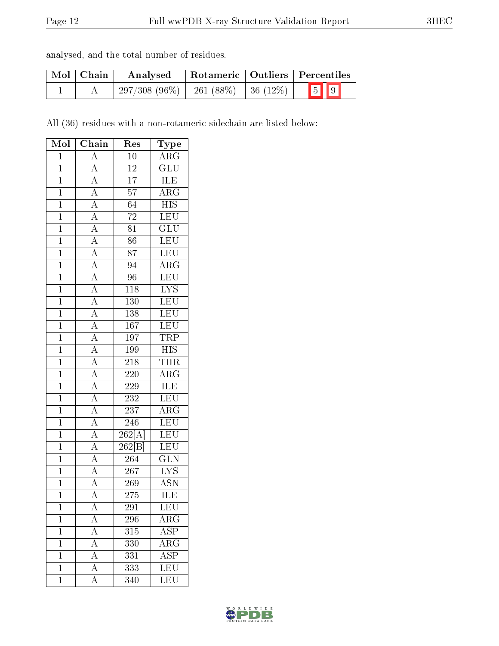| Mol   Chain | Analysed                                 |  | Rotameric   Outliers   Percentiles |
|-------------|------------------------------------------|--|------------------------------------|
|             | $297/308(96\%)$   261 (88\%)   36 (12\%) |  | $\boxed{5}$ $\boxed{9}$            |

All (36) residues with a non-rotameric sidechain are listed below:

| Mol            | Chain                                                                                                                                                                               | $\operatorname{Res}% \left( \mathcal{N}\right) \equiv\operatorname{Res}(\mathcal{N}_{0})\cap\mathcal{N}_{1}$ | Type                               |
|----------------|-------------------------------------------------------------------------------------------------------------------------------------------------------------------------------------|--------------------------------------------------------------------------------------------------------------|------------------------------------|
| $\overline{1}$ | $\overline{A}$                                                                                                                                                                      | $\overline{10}$                                                                                              | $\overline{\rm{ARG}}$              |
| $\overline{1}$ | $\overline{A}$                                                                                                                                                                      | $12\,$                                                                                                       | $\overline{\mathrm{GLU}}$          |
| $\overline{1}$ |                                                                                                                                                                                     | $\overline{17}$                                                                                              | $\overline{\text{ILE}}$            |
| $\mathbf{1}$   |                                                                                                                                                                                     | $\overline{57}$                                                                                              | $\overline{\text{ARG}}$            |
| $\mathbf{1}$   |                                                                                                                                                                                     | $\overline{64}$                                                                                              | $\overline{\mathrm{HIS}}$          |
| $\overline{1}$ | $\frac{\overline{A}}{\overline{A}}$ $\frac{\overline{A}}{\overline{A}}$                                                                                                             | $\overline{72}$                                                                                              | LEU                                |
| $\overline{1}$ |                                                                                                                                                                                     | $\overline{81}$                                                                                              | $\overline{{\rm GLU}}$             |
| $\overline{1}$ | $\overline{A}$                                                                                                                                                                      | $\overline{86}$                                                                                              | $\overline{\text{LEU}}$            |
| $\overline{1}$ | $\overline{A}$                                                                                                                                                                      | $\overline{87}$                                                                                              | LEU                                |
| $\overline{1}$ | $\frac{\overline{A}}{\overline{A}}$                                                                                                                                                 | $\overline{94}$                                                                                              | $\overline{\rm ARG}$               |
| $\overline{1}$ |                                                                                                                                                                                     | 96                                                                                                           | $\overline{\text{LEU}}$            |
| $\overline{1}$ | $\frac{\overline{A}}{\overline{A}}$ $\frac{\overline{A}}{\overline{A}}$ $\frac{\overline{A}}{\overline{A}}$ $\frac{\overline{A}}{\overline{A}}$ $\frac{\overline{A}}{\overline{A}}$ | 118                                                                                                          | $\overline{\text{LYS}}$            |
| $\overline{1}$ |                                                                                                                                                                                     | 130                                                                                                          | LEU                                |
| $\mathbf{1}$   |                                                                                                                                                                                     | 138                                                                                                          | LEU                                |
| $\overline{1}$ |                                                                                                                                                                                     | $\overline{167}$                                                                                             | LEU                                |
| $\overline{1}$ |                                                                                                                                                                                     | 197                                                                                                          | TRP                                |
| $\mathbf{1}$   |                                                                                                                                                                                     | 199                                                                                                          | $\overline{\mathrm{HIS}}$          |
| $\overline{1}$ |                                                                                                                                                                                     | 218                                                                                                          | <b>THR</b>                         |
| $\mathbf{1}$   |                                                                                                                                                                                     | 220                                                                                                          | $\overline{\rm{ARG}}$              |
| $\overline{1}$ |                                                                                                                                                                                     | 229                                                                                                          | $\overline{\text{ILE}}$            |
| $\overline{1}$ |                                                                                                                                                                                     | 232                                                                                                          | $\overline{\text{LEU}}$            |
| $\overline{1}$ |                                                                                                                                                                                     | $\overline{237}$                                                                                             | $\overline{\text{ARG}}$            |
| $\overline{1}$ | $\frac{\overline{A}}{\overline{A}}$ $\frac{\overline{A}}{\overline{A}}$                                                                                                             | $\overline{246}$                                                                                             | LEU                                |
| $\mathbf{1}$   |                                                                                                                                                                                     | 262[A]                                                                                                       | $\overline{\text{LEU}}$            |
| $\overline{1}$ |                                                                                                                                                                                     | $\overline{262[{\rm B}]}$                                                                                    | LEU <sup>-</sup>                   |
| $\overline{1}$ |                                                                                                                                                                                     | 264                                                                                                          | $\overline{\text{GLN}}$            |
| $\overline{1}$ |                                                                                                                                                                                     | $\overline{267}$                                                                                             | $\overline{\text{LYS}}$            |
| $\overline{1}$ | $\frac{\overline{A}}{\overline{A}}$                                                                                                                                                 | 269                                                                                                          | <b>ASN</b>                         |
| $\overline{1}$ | $\overline{A}$                                                                                                                                                                      | 275                                                                                                          | ILE                                |
| 1              | A                                                                                                                                                                                   | 291                                                                                                          | LEU                                |
| $\mathbf 1$    | $\boldsymbol{A}$                                                                                                                                                                    | 296                                                                                                          | $\mathrm{AR}\overline{\mathrm{G}}$ |
| $\mathbf 1$    | $\overline{A}$                                                                                                                                                                      | 315                                                                                                          | $\overline{\text{ASP}}$            |
| $\mathbf{1}$   | A                                                                                                                                                                                   | 330                                                                                                          | $\overline{\rm{ARG}}$              |
| $\mathbf{1}$   | $\overline{A}$                                                                                                                                                                      | 331                                                                                                          | $\overline{\text{ASP}}$            |
| $\mathbf 1$    | $\overline{\rm A}$                                                                                                                                                                  | 333                                                                                                          | $\overline{\text{LEU}}$            |
| $\mathbf 1$    | $\overline{\rm A}$                                                                                                                                                                  | 340                                                                                                          | LEU                                |

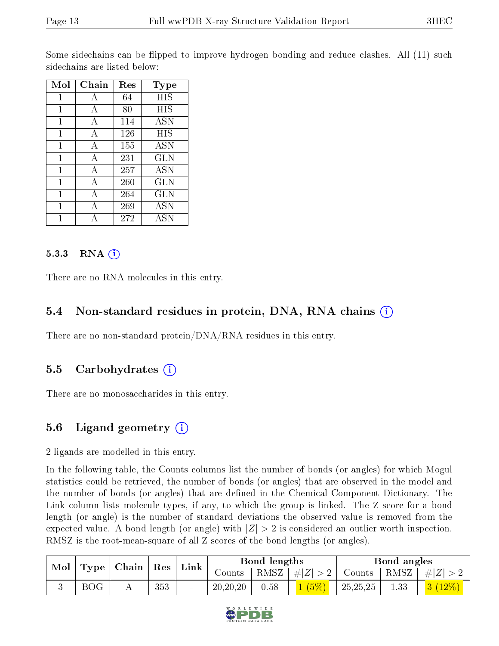Some sidechains can be flipped to improve hydrogen bonding and reduce clashes. All (11) such sidechains are listed below:

| Mol         | Chain | Res | Type       |
|-------------|-------|-----|------------|
| $\mathbf 1$ | А     | 64  | HIS        |
| 1           | А     | 80  | HIS        |
| 1           | А     | 114 | <b>ASN</b> |
| 1           | А     | 126 | HIS        |
| 1           | А     | 155 | <b>ASN</b> |
| 1           | А     | 231 | <b>GLN</b> |
| 1           | А     | 257 | <b>ASN</b> |
| 1           | A     | 260 | GLN        |
| 1           | A     | 264 | GLN        |
| 1           | A     | 269 | ASN        |
|             |       | 272 | ASN        |

#### 5.3.3 RNA  $(i)$

There are no RNA molecules in this entry.

#### 5.4 Non-standard residues in protein, DNA, RNA chains (i)

There are no non-standard protein/DNA/RNA residues in this entry.

#### 5.5 Carbohydrates  $(i)$

There are no monosaccharides in this entry.

#### 5.6 Ligand geometry  $(i)$

2 ligands are modelled in this entry.

In the following table, the Counts columns list the number of bonds (or angles) for which Mogul statistics could be retrieved, the number of bonds (or angles) that are observed in the model and the number of bonds (or angles) that are defined in the Chemical Component Dictionary. The Link column lists molecule types, if any, to which the group is linked. The Z score for a bond length (or angle) is the number of standard deviations the observed value is removed from the expected value. A bond length (or angle) with  $|Z| > 2$  is considered an outlier worth inspection. RMSZ is the root-mean-square of all Z scores of the bond lengths (or angles).

| Mol<br>$\perp$ Type $\perp$ |            |  |     | ⊢Chain <sup>∣</sup> | $\vert$ Res $\vert$ | Link | Bond lengths          |               |      | Bond angles      |  |  |
|-----------------------------|------------|--|-----|---------------------|---------------------|------|-----------------------|---------------|------|------------------|--|--|
|                             |            |  |     |                     | Counts:             |      | $ RMSZ  \#  Z  > 2  $ | Counts   RMSZ |      | $T + \#  Z  > 1$ |  |  |
|                             | <b>BOG</b> |  | 353 | $\sim$              | 20, 20, 20          | 0.58 | 1(5%)                 | 25,25,25      | 1.33 | $3(12\%)$        |  |  |

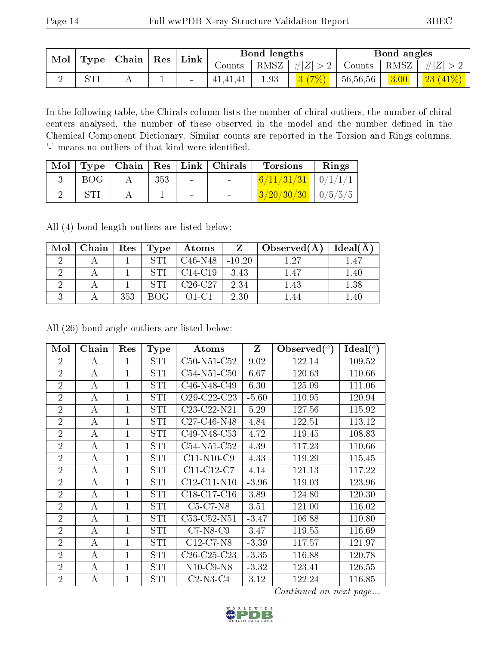| Mol |       | Type   Chain |          | $\mathbf{Res}$ | Link     |      | Bond lengths |          |                | Bond angles |  |
|-----|-------|--------------|----------|----------------|----------|------|--------------|----------|----------------|-------------|--|
|     |       |              |          |                | Counts-  | RMSZ | #Z  > 2      | Counts   | $^+$ RMSZ $_+$ | $\# Z $     |  |
|     | וידים |              | <b>.</b> | $\sim$         | 41,41,41 | 1.93 | 3(7%)        | 56,56,56 | 3.00           | 23(41%)     |  |

In the following table, the Chirals column lists the number of chiral outliers, the number of chiral centers analysed, the number of these observed in the model and the number defined in the Chemical Component Dictionary. Similar counts are reported in the Torsion and Rings columns. '-' means no outliers of that kind were identified.

| Mol |     |     |        | Type   Chain   Res   Link   Chirals | <b>Torsions</b>          | Rings |
|-----|-----|-----|--------|-------------------------------------|--------------------------|-------|
|     | BOG | 353 | $\sim$ | <b>Contract Contract</b>            | $6/11/31/31$ $0/1/1/1$   |       |
|     |     |     | $\sim$ | $\sim$                              | $3/20/30/30$   $0/5/5/5$ |       |

All (4) bond length outliers are listed below:

| Mol | Chain   Res |     | $\mid$ Type | Atoms     |          | Observed(A) | Ideal(A) |
|-----|-------------|-----|-------------|-----------|----------|-------------|----------|
|     |             |     | <b>STI</b>  | $C46-N48$ | $-10.20$ | $1.27\,$    | 1.47     |
|     |             |     | <b>STI</b>  | $C14-C19$ | 3.43     | 1.47        | 1.40     |
|     |             |     | <b>STI</b>  | $C26-C27$ | 2.34     | 1.43        | 1.38     |
|     |             | 353 | ROG.        | $O1-C1$   | 2.30     |             | .40      |

All (26) bond angle outliers are listed below:

| Mol            | Chain | Res            | <b>Type</b> | Atoms                                             | Z       | Observed $(°)$ | Ideal $(^\circ)$ |
|----------------|-------|----------------|-------------|---------------------------------------------------|---------|----------------|------------------|
| $\overline{2}$ | А     | 1              | STI         | C50-N51-C52                                       | 9.02    | 122.14         | 109.52           |
| $\overline{2}$ | А     | 1              | STI         | C54-N51-C50                                       | 6.67    | 120.63         | 110.66           |
| $\overline{2}$ | A     | $\overline{1}$ | STI         | C46-N48-C49                                       | 6.30    | 125.09         | 111.06           |
| $\overline{2}$ | А     | $\overline{1}$ | STI         | O <sub>29</sub> -C <sub>22</sub> -C <sub>23</sub> | $-5.60$ | 110.95         | 120.94           |
| $\overline{2}$ | А     | $\mathbf{1}$   | STI         | C23-C22-N21                                       | 5.29    | 127.56         | 115.92           |
| $\overline{2}$ | A     | $\overline{1}$ | STI         | C27-C46-N48                                       | 4.84    | 122.51         | 113.12           |
| $\overline{2}$ | А     | $\mathbf{1}$   | STI         | C49-N48-C53                                       | 4.72    | 119.45         | 108.83           |
| $\overline{2}$ | А     | $\mathbf{1}$   | STI         | C54-N51-C52                                       | 4.39    | 117.23         | 110.66           |
| $\overline{2}$ | А     | 1              | STI         | $C11-N10-C9$                                      | 4.33    | 119.29         | 115.45           |
| $\overline{2}$ | А     | 1              | STI         | $C11-C12-C7$                                      | 4.14    | 121.13         | 117.22           |
| $\overline{2}$ | А     | $\mathbf{1}$   | STI         | $C12-C11-N10$                                     | $-3.96$ | 119.03         | 123.96           |
| $\overline{2}$ | А     | $\mathbf{1}$   | STI         | $C18-C17-C16$                                     | 3.89    | 124.80         | 120.30           |
| $\overline{2}$ | A     | $\overline{1}$ | STI         | $C5-C7-N8$                                        | 3.51    | 121.00         | 116.02           |
| $\overline{2}$ | А     | $\mathbf{1}$   | STI         | C53-C52-N51                                       | $-3.47$ | 106.88         | 110.80           |
| $\overline{2}$ | А     | 1              | STI         | $C7-N8-C9$                                        | 3.47    | 119.55         | 116.69           |
| $\overline{2}$ | A     | 1              | <b>STI</b>  | $C12-C7-N8$                                       | $-3.39$ | 117.57         | 121.97           |
| $\overline{2}$ | А     | $\mathbf{1}$   | STI         | C <sub>26</sub> -C <sub>25</sub> -C <sub>23</sub> | $-3.35$ | 116.88         | 120.78           |
| $\overline{2}$ | А     | $\mathbf{1}$   | STI         | $N10$ -C9- $N8$                                   | $-3.32$ | 123.41         | 126.55           |
| $\overline{2}$ | A     | $\overline{1}$ | STI         | $C2-N3-C4$                                        | 3.12    | 122.24         | 116.85           |

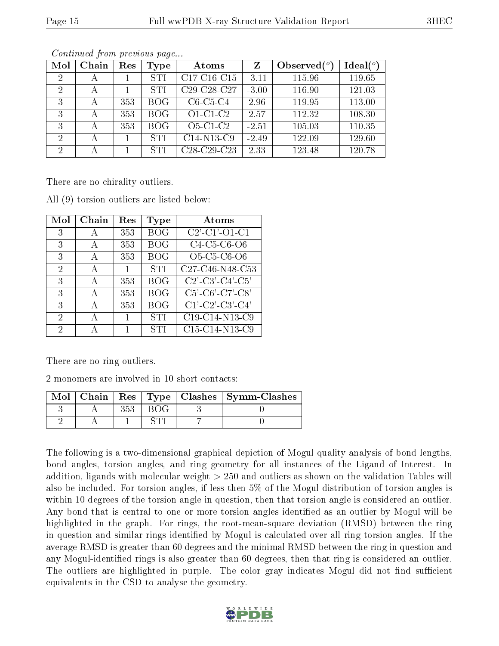| Mol                         | Chain | Res | Type       | Atoms                                             | Z       | Observed $(°)$ | Ideal $(°)$ |
|-----------------------------|-------|-----|------------|---------------------------------------------------|---------|----------------|-------------|
| 2                           | А     |     | <b>STI</b> | C17-C16-C15                                       | $-3.11$ | 115.96         | 119.65      |
| 2                           | А     |     | <b>STI</b> | C <sub>29</sub> -C <sub>28</sub> -C <sub>27</sub> | $-3.00$ | 116.90         | 121.03      |
| 3                           | А     | 353 | <b>BOG</b> | $C6-C5-C4$                                        | 2.96    | 119.95         | 113.00      |
| 3                           | А     | 353 | <b>BOG</b> | $O1-C1-C2$                                        | 2.57    | 112.32         | 108.30      |
| 3                           | А     | 353 | <b>BOG</b> | $O5-C1-C2$                                        | $-2.51$ | 105.03         | 110.35      |
| 2                           | А     |     | <b>STI</b> | C14-N13-C9                                        | $-2.49$ | 122.09         | 129.60      |
| $\mathcal{D}_{\mathcal{A}}$ | А     |     | <b>STI</b> | C <sub>28</sub> -C <sub>29</sub> -C <sub>23</sub> | 2.33    | 123.48         | 120.78      |

There are no chirality outliers.

| $\operatorname{Mol}$        | Chain | Res          | Type       | Atoms                                                                                                    |
|-----------------------------|-------|--------------|------------|----------------------------------------------------------------------------------------------------------|
| 3                           | А     | 353          | <b>BOG</b> | $C2'$ - $C1'$ - $O1$ - $C1$                                                                              |
| 3                           | А     | 353          | <b>BOG</b> | C4-C5-C6-O6                                                                                              |
| 3                           | A     | 353          | <b>BOG</b> | O5-C5-C6-O6                                                                                              |
| $\mathcal{D}_{\mathcal{A}}$ | A     | 1            | <b>STI</b> | C27-C46-N48-C53                                                                                          |
| 3                           | А     | 353          | <b>BOG</b> | $C2$ <sup>'</sup> -C <sub>3</sub> <sup>'</sup> -C <sub>4</sub> <sup>'</sup> -C <sub>5</sub> <sup>'</sup> |
| 3                           | A     | 353          | <b>BOG</b> | $\overline{C5'$ - $C6'$ - $\overline{C7'}$ - $C8'$                                                       |
| 3                           | А     | 353          | <b>BOG</b> | $C1'$ - $C2'$ - $C3'$ - $C4'$                                                                            |
| $\mathcal{D}_{\mathcal{A}}$ | А     | $\mathbf{1}$ | <b>STI</b> | C19-C14-N13-C9                                                                                           |
| 2                           |       | 1            | <b>STI</b> | C15-C14-N13-C9                                                                                           |

All (9) torsion outliers are listed below:

There are no ring outliers.

2 monomers are involved in 10 short contacts:

|  |  | Mol   Chain   Res   Type   Clashes   Symm-Clashes |
|--|--|---------------------------------------------------|
|  |  |                                                   |
|  |  |                                                   |

The following is a two-dimensional graphical depiction of Mogul quality analysis of bond lengths, bond angles, torsion angles, and ring geometry for all instances of the Ligand of Interest. In addition, ligands with molecular weight > 250 and outliers as shown on the validation Tables will also be included. For torsion angles, if less then 5% of the Mogul distribution of torsion angles is within 10 degrees of the torsion angle in question, then that torsion angle is considered an outlier. Any bond that is central to one or more torsion angles identified as an outlier by Mogul will be highlighted in the graph. For rings, the root-mean-square deviation (RMSD) between the ring in question and similar rings identified by Mogul is calculated over all ring torsion angles. If the average RMSD is greater than 60 degrees and the minimal RMSD between the ring in question and any Mogul-identified rings is also greater than 60 degrees, then that ring is considered an outlier. The outliers are highlighted in purple. The color gray indicates Mogul did not find sufficient equivalents in the CSD to analyse the geometry.

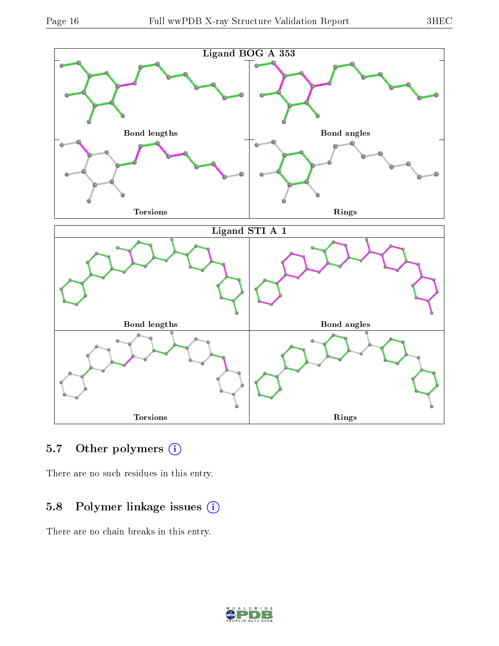

### 5.7 [O](https://www.wwpdb.org/validation/2017/XrayValidationReportHelp#nonstandard_residues_and_ligands)ther polymers (i)

There are no such residues in this entry.

### 5.8 Polymer linkage issues (i)

There are no chain breaks in this entry.

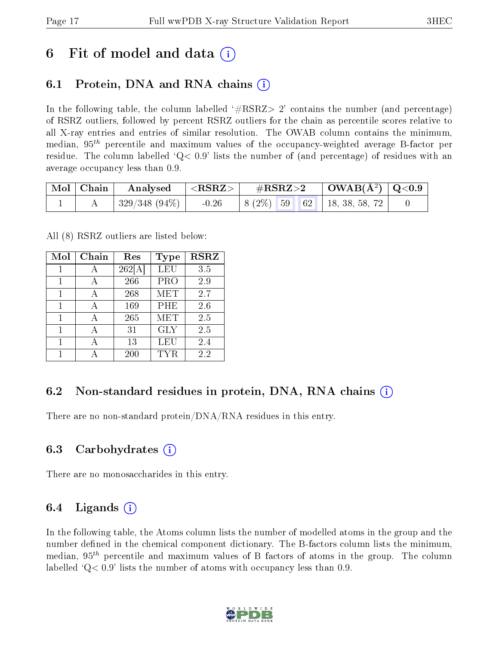### 6 Fit of model and data  $\left( \cdot \right)$

### 6.1 Protein, DNA and RNA chains (i)

In the following table, the column labelled  $#RSRZ>2'$  contains the number (and percentage) of RSRZ outliers, followed by percent RSRZ outliers for the chain as percentile scores relative to all X-ray entries and entries of similar resolution. The OWAB column contains the minimum, median,  $95<sup>th</sup>$  percentile and maximum values of the occupancy-weighted average B-factor per residue. The column labelled  $Q < 0.9$  lists the number of (and percentage) of residues with an average occupancy less than 0.9.

|  | $\mid$ Mol $\mid$ Chain $\mid$ Analysed $\mid$ <rsrz> <math>\mid</math></rsrz> | $\#RSRZ>2$ $\Box$ OWAB(Å <sup>2</sup> ) $\Box$ Q<0.9 |  |  |                                                                                                 |  |
|--|--------------------------------------------------------------------------------|------------------------------------------------------|--|--|-------------------------------------------------------------------------------------------------|--|
|  | $\mid 329/348~(94\%) \mid -0.26$                                               |                                                      |  |  | $\begin{array}{ c c c c c c c c } \hline 8 & 2\% & 59 & 62 & 18, 38, 58, 72 \hline \end{array}$ |  |

All (8) RSRZ outliers are listed below:

| Mol | Chain | Res    | Type                    | $\bf RSRZ$ |
|-----|-------|--------|-------------------------|------------|
| 1   | А     | 262[A] | LEU                     | 3.5        |
| 1   | А     | 266    | PRO                     | 2.9        |
| 1   | А     | 268    | MET                     | 2.7        |
| 1   |       | 169    | PHE                     | 2.6        |
| 1   | А     | 265    | $\overline{\text{MET}}$ | 2.5        |
| 1   |       | 31     | <b>GLY</b>              | 2.5        |
| 1   |       | 13     | LEU                     | 2.4        |
|     |       | 200    | TYR                     | 2.2        |

#### 6.2 Non-standard residues in protein, DNA, RNA chains  $(i)$

There are no non-standard protein/DNA/RNA residues in this entry.

#### 6.3 Carbohydrates (i)

There are no monosaccharides in this entry.

#### 6.4 Ligands  $(i)$

In the following table, the Atoms column lists the number of modelled atoms in the group and the number defined in the chemical component dictionary. The B-factors column lists the minimum, median,  $95<sup>th</sup>$  percentile and maximum values of B factors of atoms in the group. The column labelled  $Q< 0.9$ ' lists the number of atoms with occupancy less than 0.9.

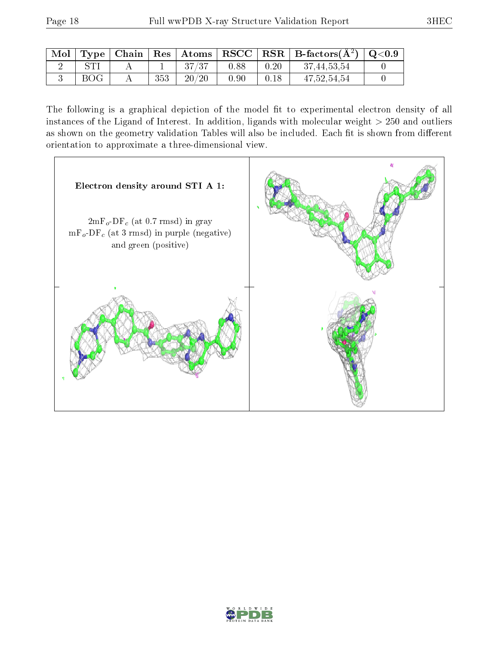| Mol | $\mid$ Type $\mid$ |     |       |      |      | $\vert$ Chain $\vert$ Res $\vert$ Atoms $\vert$ RSCC $\vert$ RSR $\vert$ B-factors(A <sup>2</sup> ) $\vert$ Q<0.9 |  |
|-----|--------------------|-----|-------|------|------|-------------------------------------------------------------------------------------------------------------------|--|
|     |                    |     | 37/37 | 0.88 | 0.20 | 37,44,53,54                                                                                                       |  |
|     | BOG                | 353 | 20/20 | 0.90 | 0.18 | 47,52,54,54                                                                                                       |  |

The following is a graphical depiction of the model fit to experimental electron density of all instances of the Ligand of Interest. In addition, ligands with molecular weight  $> 250$  and outliers as shown on the geometry validation Tables will also be included. Each fit is shown from different orientation to approximate a three-dimensional view.